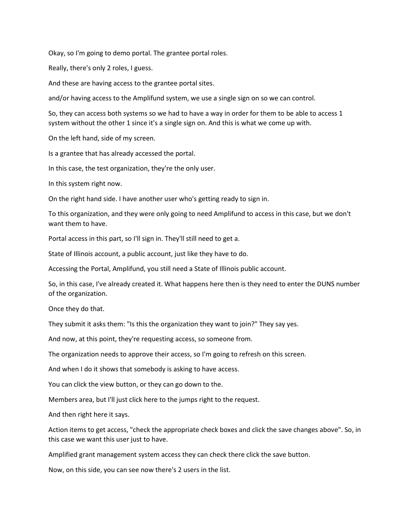Okay, so I'm going to demo portal. The grantee portal roles.

Really, there's only 2 roles, I guess.

And these are having access to the grantee portal sites.

and/or having access to the Amplifund system, we use a single sign on so we can control.

So, they can access both systems so we had to have a way in order for them to be able to access 1 system without the other 1 since it's a single sign on. And this is what we come up with.

On the left hand, side of my screen.

Is a grantee that has already accessed the portal.

In this case, the test organization, they're the only user.

In this system right now.

On the right hand side. I have another user who's getting ready to sign in.

To this organization, and they were only going to need Amplifund to access in this case, but we don't want them to have.

Portal access in this part, so I'll sign in. They'll still need to get a.

State of Illinois account, a public account, just like they have to do.

Accessing the Portal, Amplifund, you still need a State of Illinois public account.

So, in this case, I've already created it. What happens here then is they need to enter the DUNS number of the organization.

Once they do that.

They submit it asks them: "Is this the organization they want to join?" They say yes.

And now, at this point, they're requesting access, so someone from.

The organization needs to approve their access, so I'm going to refresh on this screen.

And when I do it shows that somebody is asking to have access.

You can click the view button, or they can go down to the.

Members area, but I'll just click here to the jumps right to the request.

And then right here it says.

Action items to get access, "check the appropriate check boxes and click the save changes above". So, in this case we want this user just to have.

Amplified grant management system access they can check there click the save button.

Now, on this side, you can see now there's 2 users in the list.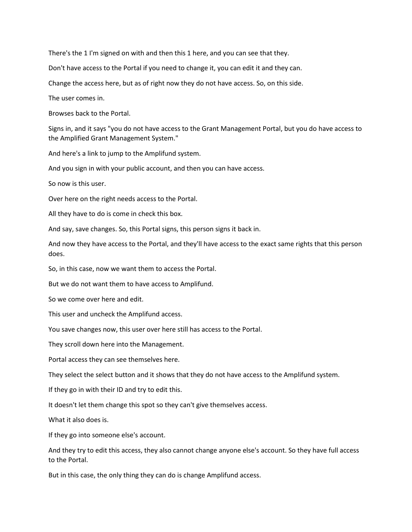There's the 1 I'm signed on with and then this 1 here, and you can see that they.

Don't have access to the Portal if you need to change it, you can edit it and they can.

Change the access here, but as of right now they do not have access. So, on this side.

The user comes in.

Browses back to the Portal.

Signs in, and it says "you do not have access to the Grant Management Portal, but you do have access to the Amplified Grant Management System."

And here's a link to jump to the Amplifund system.

And you sign in with your public account, and then you can have access.

So now is this user.

Over here on the right needs access to the Portal.

All they have to do is come in check this box.

And say, save changes. So, this Portal signs, this person signs it back in.

And now they have access to the Portal, and they'll have access to the exact same rights that this person does.

So, in this case, now we want them to access the Portal.

But we do not want them to have access to Amplifund.

So we come over here and edit.

This user and uncheck the Amplifund access.

You save changes now, this user over here still has access to the Portal.

They scroll down here into the Management.

Portal access they can see themselves here.

They select the select button and it shows that they do not have access to the Amplifund system.

If they go in with their ID and try to edit this.

It doesn't let them change this spot so they can't give themselves access.

What it also does is.

If they go into someone else's account.

And they try to edit this access, they also cannot change anyone else's account. So they have full access to the Portal.

But in this case, the only thing they can do is change Amplifund access.